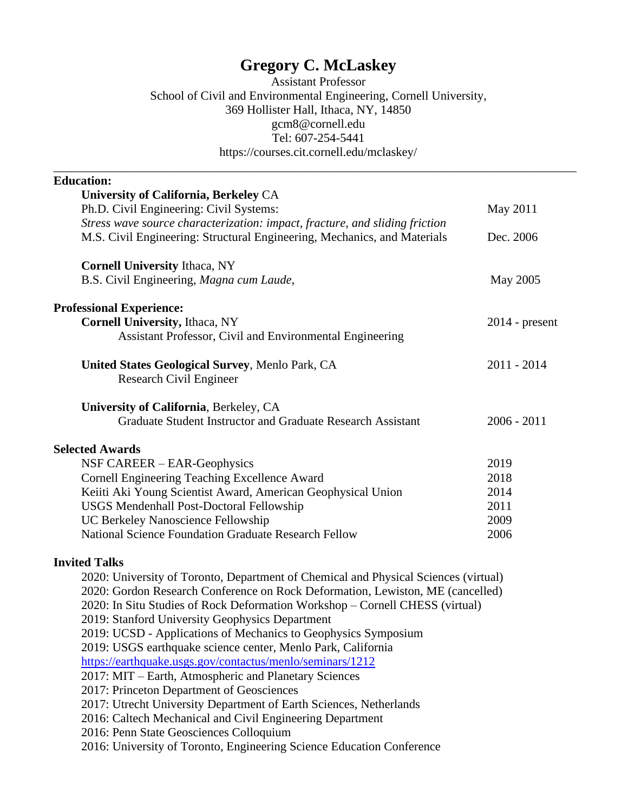# **Gregory C. McLaskey**

Assistant Professor School of Civil and Environmental Engineering, Cornell University, 369 Hollister Hall, Ithaca, NY, 14850 gcm8@cornell.edu Tel: 607-254-5441 https://courses.cit.cornell.edu/mclaskey/

\_\_\_\_\_\_\_\_\_\_\_\_\_\_\_\_\_\_\_\_\_\_\_\_\_\_\_\_\_\_\_\_\_\_\_\_\_\_\_\_\_\_\_\_\_\_\_\_\_\_\_\_\_\_\_\_\_\_\_\_\_\_\_\_\_\_\_\_\_\_\_\_\_\_\_\_\_\_\_\_\_\_\_\_\_

| <b>Education:</b>                                                                   |                  |
|-------------------------------------------------------------------------------------|------------------|
| University of California, Berkeley CA                                               |                  |
| Ph.D. Civil Engineering: Civil Systems:                                             | May 2011         |
| Stress wave source characterization: impact, fracture, and sliding friction         |                  |
| M.S. Civil Engineering: Structural Engineering, Mechanics, and Materials            | Dec. 2006        |
| <b>Cornell University Ithaca, NY</b>                                                |                  |
| B.S. Civil Engineering, Magna cum Laude,                                            | May 2005         |
| <b>Professional Experience:</b>                                                     |                  |
| Cornell University, Ithaca, NY                                                      | $2014$ - present |
| Assistant Professor, Civil and Environmental Engineering                            |                  |
| United States Geological Survey, Menlo Park, CA                                     | $2011 - 2014$    |
| Research Civil Engineer                                                             |                  |
| University of California, Berkeley, CA                                              |                  |
| Graduate Student Instructor and Graduate Research Assistant                         | $2006 - 2011$    |
| <b>Selected Awards</b>                                                              |                  |
| NSF CAREER – EAR-Geophysics                                                         | 2019             |
| Cornell Engineering Teaching Excellence Award                                       | 2018             |
| Keiiti Aki Young Scientist Award, American Geophysical Union                        | 2014             |
| <b>USGS Mendenhall Post-Doctoral Fellowship</b>                                     | 2011             |
| UC Berkeley Nanoscience Fellowship                                                  | 2009             |
| <b>National Science Foundation Graduate Research Fellow</b>                         | 2006             |
| <b>Invited Talks</b>                                                                |                  |
| 2020: University of Toronto, Department of Chemical and Physical Sciences (virtual) |                  |
| 2020: Gordon Research Conference on Rock Deformation, Lewiston, ME (cancelled)      |                  |
| 2020: In Situ Studies of Rock Deformation Workshop – Cornell CHESS (virtual)        |                  |
| 2019: Stanford University Geophysics Department                                     |                  |
| 2019: UCSD - Applications of Mechanics to Geophysics Symposium                      |                  |
| 2019: USGS earthquake science center, Menlo Park, California                        |                  |
| https://earthquake.usgs.gov/contactus/menlo/seminars/1212                           |                  |
| 2017: MIT – Earth, Atmospheric and Planetary Sciences                               |                  |
| 2017: Princeton Department of Geosciences                                           |                  |
| 2017: Utrecht University Department of Earth Sciences, Netherlands                  |                  |
| 2016: Caltech Mechanical and Civil Engineering Department                           |                  |
| 2016: Penn State Geosciences Colloquium                                             |                  |
| 2016: University of Toronto, Engineering Science Education Conference               |                  |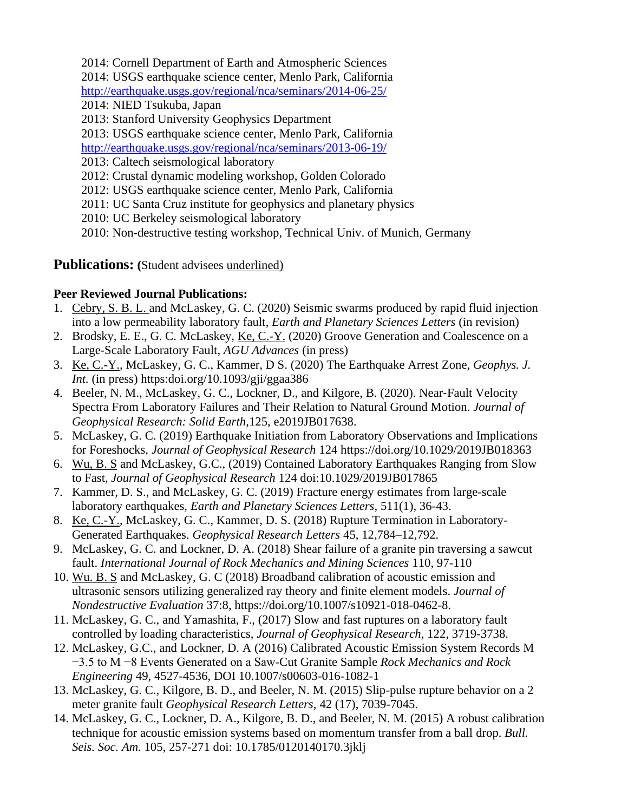2014: Cornell Department of Earth and Atmospheric Sciences

2014: USGS earthquake science center, Menlo Park, California

<http://earthquake.usgs.gov/regional/nca/seminars/2014-06-25/>

- 2014: NIED Tsukuba, Japan
- 2013: Stanford University Geophysics Department

2013: USGS earthquake science center, Menlo Park, California

<http://earthquake.usgs.gov/regional/nca/seminars/2013-06-19/>

- 2013: Caltech seismological laboratory
- 2012: Crustal dynamic modeling workshop, Golden Colorado
- 2012: USGS earthquake science center, Menlo Park, California
- 2011: UC Santa Cruz institute for geophysics and planetary physics
- 2010: UC Berkeley seismological laboratory

2010: Non-destructive testing workshop, Technical Univ. of Munich, Germany

## **Publications: (**Student advisees underlined)

### **Peer Reviewed Journal Publications:**

- 1. Cebry, S. B. L. and McLaskey, G. C. (2020) Seismic swarms produced by rapid fluid injection into a low permeability laboratory fault, *Earth and Planetary Sciences Letters* (in revision)
- 2. Brodsky, E. E., G. C. McLaskey, Ke, C.-Y. (2020) Groove Generation and Coalescence on a Large-Scale Laboratory Fault, *AGU Advances* (in press)
- 3. Ke, C.-Y., McLaskey, G. C., Kammer, D S. (2020) The Earthquake Arrest Zone, *Geophys. J. Int.* (in press) https:doi.org/10.1093/gji/ggaa386
- 4. Beeler, N. M., McLaskey, G. C., Lockner, D., and Kilgore, B. (2020). Near‐Fault Velocity Spectra From Laboratory Failures and Their Relation to Natural Ground Motion. *Journal of Geophysical Research: Solid Earth*,125, e2019JB017638.
- 5. McLaskey, G. C. (2019) Earthquake Initiation from Laboratory Observations and Implications for Foreshocks, *Journal of Geophysical Research* 124 https://doi.org/10.1029/2019JB018363
- 6. Wu, B. S and McLaskey, G.C., (2019) Contained Laboratory Earthquakes Ranging from Slow to Fast, *Journal of Geophysical Research* 124 doi:10.1029/2019JB017865
- 7. Kammer, D. S., and McLaskey, G. C. (2019) Fracture energy estimates from large-scale laboratory earthquakes, *Earth and Planetary Sciences Letters*, 511(1), 36-43.
- 8. Ke, C.-Y., McLaskey, G. C., Kammer, D. S. (2018) Rupture Termination in Laboratory-Generated Earthquakes. *Geophysical Research Letters* 45, 12,784–12,792.
- 9. McLaskey, G. C. and Lockner, D. A. (2018) Shear failure of a granite pin traversing a sawcut fault. *International Journal of Rock Mechanics and Mining Sciences* 110, 97-110
- 10. Wu. B. S and McLaskey, G. C (2018) Broadband calibration of acoustic emission and ultrasonic sensors utilizing generalized ray theory and finite element models. *Journal of Nondestructive Evaluation* 37:8, https://doi.org/10.1007/s10921-018-0462-8.
- 11. McLaskey, G. C., and Yamashita, F., (2017) Slow and fast ruptures on a laboratory fault controlled by loading characteristics, *Journal of Geophysical Research,* 122, 3719-3738.
- 12. McLaskey, G.C., and Lockner, D. A (2016) Calibrated Acoustic Emission System Records M −3.5 to M −8 Events Generated on a Saw-Cut Granite Sample *Rock Mechanics and Rock Engineering* 49, 4527-4536, DOI 10.1007/s00603-016-1082-1
- 13. McLaskey, G. C., Kilgore, B. D., and Beeler, N. M. (2015) Slip-pulse rupture behavior on a 2 meter granite fault *Geophysical Research Letters,* 42 (17), 7039-7045.
- 14. McLaskey, G. C., Lockner, D. A., Kilgore, B. D., and Beeler, N. M. (2015) A robust calibration technique for acoustic emission systems based on momentum transfer from a ball drop. *Bull. Seis. Soc. Am.* 105, 257-271 doi: 10.1785/0120140170.3jklj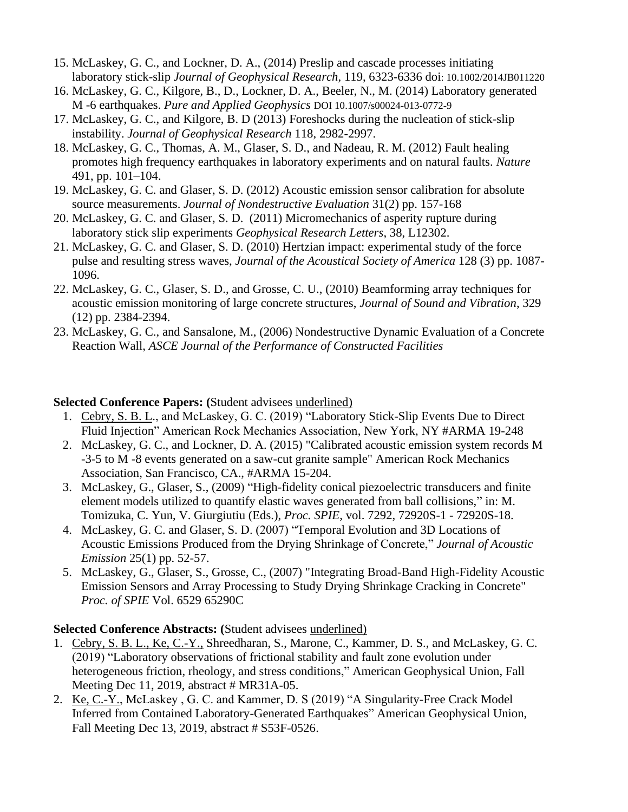- 15. McLaskey, G. C., and Lockner, D. A., (2014) Preslip and cascade processes initiating laboratory stick-slip *Journal of Geophysical Research,* 119, 6323-6336 doi: 10.1002/2014JB011220
- 16. McLaskey, G. C., Kilgore, B., D., Lockner, D. A., Beeler, N., M. (2014) Laboratory generated M -6 earthquakes. *Pure and Applied Geophysics* DOI 10.1007/s00024-013-0772-9
- 17. McLaskey, G. C., and Kilgore, B. D (2013) Foreshocks during the nucleation of stick-slip instability. *Journal of Geophysical Research* 118, 2982-2997.
- 18. McLaskey, G. C., Thomas, A. M., Glaser, S. D., and Nadeau, R. M. (2012) Fault healing promotes high frequency earthquakes in laboratory experiments and on natural faults. *Nature* 491, pp. 101–104.
- 19. McLaskey, G. C. and Glaser, S. D. (2012) Acoustic emission sensor calibration for absolute source measurements. *Journal of Nondestructive Evaluation* 31(2) pp. 157-168
- 20. McLaskey, G. C. and Glaser, S. D. (2011) Micromechanics of asperity rupture during laboratory stick slip experiments *Geophysical Research Letters*, 38, L12302.
- 21. McLaskey, G. C. and Glaser, S. D. (2010) Hertzian impact: experimental study of the force pulse and resulting stress waves, *Journal of the Acoustical Society of America* 128 (3) pp. 1087- 1096.
- 22. McLaskey, G. C., Glaser, S. D., and Grosse, C. U., (2010) Beamforming array techniques for acoustic emission monitoring of large concrete structures, *Journal of Sound and Vibration*, 329 (12) pp. 2384-2394.
- 23. McLaskey, G. C., and Sansalone, M., (2006) Nondestructive Dynamic Evaluation of a Concrete Reaction Wall, *ASCE Journal of the Performance of Constructed Facilities*

#### **Selected Conference Papers: (**Student advisees underlined)

- 1. Cebry, S. B. L., and McLaskey, G. C. (2019) "Laboratory Stick-Slip Events Due to Direct Fluid Injection" American Rock Mechanics Association, New York, NY #ARMA 19-248
- 2. McLaskey, G. C., and Lockner, D. A. (2015) "Calibrated acoustic emission system records M -3-5 to M -8 events generated on a saw-cut granite sample" American Rock Mechanics Association, San Francisco, CA., #ARMA 15-204.
- 3. McLaskey, G., Glaser, S., (2009) "High-fidelity conical piezoelectric transducers and finite element models utilized to quantify elastic waves generated from ball collisions," in: M. Tomizuka, C. Yun, V. Giurgiutiu (Eds.), *Proc. SPIE*, vol. 7292, 72920S-1 - 72920S-18.
- 4. McLaskey, G. C. and Glaser, S. D. (2007) "Temporal Evolution and 3D Locations of Acoustic Emissions Produced from the Drying Shrinkage of Concrete," *Journal of Acoustic Emission* 25(1) pp. 52-57.
- 5. McLaskey, G., Glaser, S., Grosse, C., (2007) "Integrating Broad-Band High-Fidelity Acoustic Emission Sensors and Array Processing to Study Drying Shrinkage Cracking in Concrete" *Proc. of SPIE* Vol. 6529 65290C

#### **Selected Conference Abstracts: (**Student advisees underlined)

- 1. Cebry, S. B. L., Ke, C.-Y., Shreedharan, S., Marone, C., Kammer, D. S., and McLaskey, G. C. (2019) "Laboratory observations of frictional stability and fault zone evolution under heterogeneous friction, rheology, and stress conditions," American Geophysical Union, Fall Meeting Dec 11, 2019, abstract # MR31A-05.
- 2. Ke, C.-Y., McLaskey , G. C. and Kammer, D. S (2019) "A Singularity-Free Crack Model Inferred from Contained Laboratory-Generated Earthquakes" American Geophysical Union, Fall Meeting Dec 13, 2019, abstract # S53F-0526.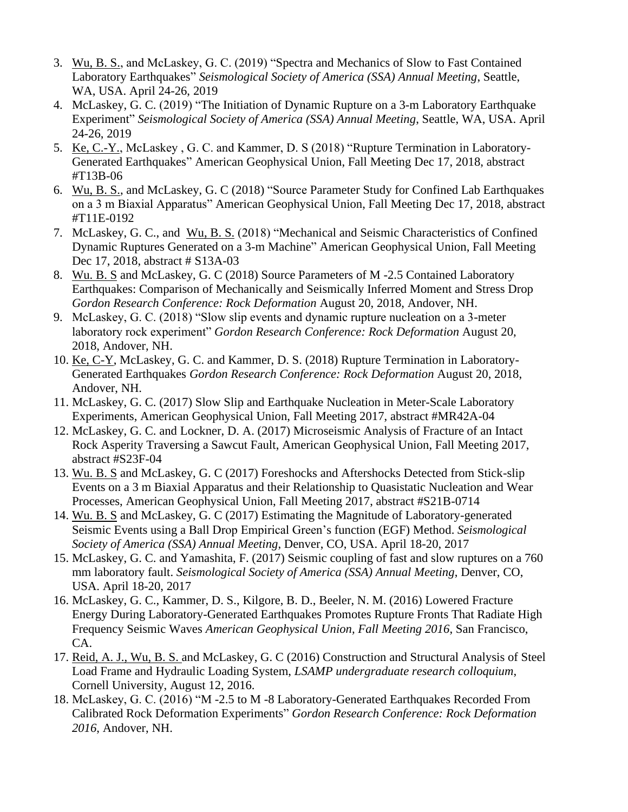- 3. Wu, B. S., and McLaskey, G. C. (2019) "Spectra and Mechanics of Slow to Fast Contained Laboratory Earthquakes" *Seismological Society of America (SSA) Annual Meeting*, Seattle, WA, USA. April 24-26, 2019
- 4. McLaskey, G. C. (2019) "The Initiation of Dynamic Rupture on a 3-m Laboratory Earthquake Experiment" *Seismological Society of America (SSA) Annual Meeting*, Seattle, WA, USA. April 24-26, 2019
- 5. Ke, C.-Y., McLaskey , G. C. and Kammer, D. S (2018) "Rupture Termination in Laboratory-Generated Earthquakes" American Geophysical Union, Fall Meeting Dec 17, 2018, abstract #T13B-06
- 6. Wu, B. S., and McLaskey, G. C (2018) "Source Parameter Study for Confined Lab Earthquakes on a 3 m Biaxial Apparatus" American Geophysical Union, Fall Meeting Dec 17, 2018, abstract #T11E-0192
- 7. McLaskey, G. C., and Wu, B. S. (2018) "Mechanical and Seismic Characteristics of Confined Dynamic Ruptures Generated on a 3-m Machine" American Geophysical Union, Fall Meeting Dec 17, 2018, abstract # S13A-03
- 8. Wu. B. S and McLaskey, G. C (2018) Source Parameters of M -2.5 Contained Laboratory Earthquakes: Comparison of Mechanically and Seismically Inferred Moment and Stress Drop *Gordon Research Conference: Rock Deformation* August 20, 2018, Andover, NH.
- 9. McLaskey, G. C. (2018) "Slow slip events and dynamic rupture nucleation on a 3-meter laboratory rock experiment" *Gordon Research Conference: Rock Deformation* August 20, 2018, Andover, NH.
- 10. Ke, C-Y, McLaskey, G. C. and Kammer, D. S. (2018) Rupture Termination in Laboratory-Generated Earthquakes *Gordon Research Conference: Rock Deformation* August 20, 2018, Andover, NH.
- 11. McLaskey, G. C. (2017) Slow Slip and Earthquake Nucleation in Meter-Scale Laboratory Experiments, American Geophysical Union, Fall Meeting 2017, abstract #MR42A-04
- 12. McLaskey, G. C. and Lockner, D. A. (2017) Microseismic Analysis of Fracture of an Intact Rock Asperity Traversing a Sawcut Fault, American Geophysical Union, Fall Meeting 2017, abstract #S23F-04
- 13. Wu. B. S and McLaskey, G. C (2017) Foreshocks and Aftershocks Detected from Stick-slip Events on a 3 m Biaxial Apparatus and their Relationship to Quasistatic Nucleation and Wear Processes, American Geophysical Union, Fall Meeting 2017, abstract #S21B-0714
- 14. Wu. B. S and McLaskey, G. C (2017) Estimating the Magnitude of Laboratory-generated Seismic Events using a Ball Drop Empirical Green's function (EGF) Method. *Seismological Society of America (SSA) Annual Meeting*, Denver, CO, USA. April 18-20, 2017
- 15. McLaskey, G. C. and Yamashita, F. (2017) Seismic coupling of fast and slow ruptures on a 760 mm laboratory fault. *Seismological Society of America (SSA) Annual Meeting*, Denver, CO, USA. April 18-20, 2017
- 16. McLaskey, G. C., Kammer, D. S., Kilgore, B. D., Beeler, N. M. (2016) Lowered Fracture Energy During Laboratory-Generated Earthquakes Promotes Rupture Fronts That Radiate High Frequency Seismic Waves *American Geophysical Union, Fall Meeting 2016*, San Francisco, CA.
- 17. Reid, A. J., Wu, B. S. and McLaskey, G. C (2016) Construction and Structural Analysis of Steel Load Frame and Hydraulic Loading System, *LSAMP undergraduate research colloquium*, Cornell University, August 12, 2016.
- 18. McLaskey, G. C. (2016) "M -2.5 to M -8 Laboratory-Generated Earthquakes Recorded From Calibrated Rock Deformation Experiments" *Gordon Research Conference: Rock Deformation 2016*, Andover, NH.